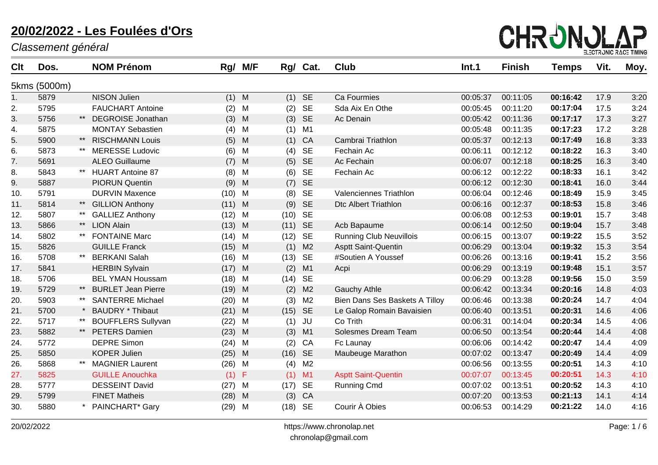

| <b>Clt</b> | Dos.         |       | <b>NOM Prénom</b>         |      | Rg/ M/F | Rg/  | Cat.           | <b>Club</b>                    | Int.1    | <b>Finish</b> | Temps    | Vit. | Moy. |
|------------|--------------|-------|---------------------------|------|---------|------|----------------|--------------------------------|----------|---------------|----------|------|------|
|            | 5kms (5000m) |       |                           |      |         |      |                |                                |          |               |          |      |      |
| 1.         | 5879         |       | <b>NISON Julien</b>       | (1)  | M       |      | $(1)$ SE       | Ca Fourmies                    | 00:05:37 | 00:11:05      | 00:16:42 | 17.9 | 3:20 |
| 2.         | 5795         |       | <b>FAUCHART Antoine</b>   | (2)  | M       | (2)  | <b>SE</b>      | Sda Aix En Othe                | 00:05:45 | 00:11:20      | 00:17:04 | 17.5 | 3:24 |
| 3.         | 5756         |       | <b>DEGROISE Jonathan</b>  | (3)  | M       | (3)  | <b>SE</b>      | Ac Denain                      | 00:05:42 | 00:11:36      | 00:17:17 | 17.3 | 3:27 |
| 4.         | 5875         |       | <b>MONTAY Sebastien</b>   | (4)  | M       | (1)  | M1             |                                | 00:05:48 | 00:11:35      | 00:17:23 | 17.2 | 3:28 |
| 5.         | 5900         | $***$ | <b>RISCHMANN Louis</b>    | (5)  | M       | (1)  | CA             | Cambrai Triathlon              | 00:05:37 | 00:12:13      | 00:17:49 | 16.8 | 3:33 |
| 6.         | 5873         |       | <b>MERESSE Ludovic</b>    | (6)  | M       | (4)  | SE             | Fechain Ac                     | 00:06:11 | 00:12:12      | 00:18:22 | 16.3 | 3:40 |
| 7.         | 5691         |       | <b>ALEO Guillaume</b>     | (7)  | M       | (5)  | <b>SE</b>      | Ac Fechain                     | 00:06:07 | 00:12:18      | 00:18:25 | 16.3 | 3:40 |
| 8.         | 5843         | $***$ | <b>HUART Antoine 87</b>   | (8)  | M       | (6)  | SE             | Fechain Ac                     | 00:06:12 | 00:12:22      | 00:18:33 | 16.1 | 3:42 |
| 9.         | 5887         |       | <b>PIORUN Quentin</b>     | (9)  | M       | (7)  | <b>SE</b>      |                                | 00:06:12 | 00:12:30      | 00:18:41 | 16.0 | 3:44 |
| 10.        | 5791         |       | <b>DURVIN Maxence</b>     | (10) | M       | (8)  | <b>SE</b>      | Valenciennes Triathlon         | 00:06:04 | 00:12:46      | 00:18:49 | 15.9 | 3:45 |
| 11.        | 5814         | $***$ | <b>GILLION Anthony</b>    | (11) | M       | (9)  | <b>SE</b>      | <b>Dtc Albert Triathlon</b>    | 00:06:16 | 00:12:37      | 00:18:53 | 15.8 | 3:46 |
| 12.        | 5807         |       | <b>GALLIEZ Anthony</b>    | (12) | M       | (10) | <b>SE</b>      |                                | 00:06:08 | 00:12:53      | 00:19:01 | 15.7 | 3:48 |
| 13.        | 5866         | $***$ | <b>LION Alain</b>         | (13) | M       | (11) | <b>SE</b>      | Acb Bapaume                    | 00:06:14 | 00:12:50      | 00:19:04 | 15.7 | 3:48 |
| 14.        | 5802         |       | <b>FONTAINE Marc</b>      | (14) | M       | (12) | SE             | <b>Running Club Neuvillois</b> | 00:06:15 | 00:13:07      | 00:19:22 | 15.5 | 3:52 |
| 15.        | 5826         |       | <b>GUILLE Franck</b>      | (15) | M       | (1)  | M <sub>2</sub> | Asptt Saint-Quentin            | 00:06:29 | 00:13:04      | 00:19:32 | 15.3 | 3:54 |
| 16.        | 5708         | $***$ | <b>BERKANI Salah</b>      | (16) | M       | (13) | <b>SE</b>      | #Soutien A Youssef             | 00:06:26 | 00:13:16      | 00:19:41 | 15.2 | 3:56 |
| 17.        | 5841         |       | <b>HERBIN Sylvain</b>     | (17) | M       | (2)  | M1             | Acpi                           | 00:06:29 | 00:13:19      | 00:19:48 | 15.1 | 3:57 |
| 18.        | 5706         |       | <b>BEL YMAN Houssam</b>   | (18) | M       | (14) | SE             |                                | 00:06:29 | 00:13:28      | 00:19:56 | 15.0 | 3:59 |
| 19.        | 5729         | $***$ | <b>BURLET Jean Pierre</b> | (19) | M       | (2)  | M <sub>2</sub> | <b>Gauchy Athle</b>            | 00:06:42 | 00:13:34      | 00:20:16 | 14.8 | 4:03 |
| 20.        | 5903         | $***$ | <b>SANTERRE Michael</b>   | (20) | M       | (3)  | M <sub>2</sub> | Bien Dans Ses Baskets A Tilloy | 00:06:46 | 00:13:38      | 00:20:24 | 14.7 | 4:04 |
| 21.        | 5700         |       | <b>BAUDRY * Thibaut</b>   | (21) | M       | (15) | <b>SE</b>      | Le Galop Romain Bavaisien      | 00:06:40 | 00:13:51      | 00:20:31 | 14.6 | 4:06 |
| 22.        | 5717         |       | <b>BOUFFLERS Sullyvan</b> | (22) | M       | (1)  | JU             | Co Trith                       | 00:06:31 | 00:14:04      | 00:20:34 | 14.5 | 4:06 |
| 23.        | 5882         | $***$ | <b>PETERS Damien</b>      | (23) | M       | (3)  | M1             | Solesmes Dream Team            | 00:06:50 | 00:13:54      | 00:20:44 | 14.4 | 4:08 |
| 24.        | 5772         |       | <b>DEPRE Simon</b>        | (24) | M       | (2)  | CA             | Fc Launay                      | 00:06:06 | 00:14:42      | 00:20:47 | 14.4 | 4:09 |
| 25.        | 5850         |       | <b>KOPER Julien</b>       | (25) | M       | (16) | <b>SE</b>      | Maubeuge Marathon              | 00:07:02 | 00:13:47      | 00:20:49 | 14.4 | 4:09 |
| 26.        | 5868         |       | <b>MAGNIER Laurent</b>    | (26) | M       | (4)  | M <sub>2</sub> |                                | 00:06:56 | 00:13:55      | 00:20:51 | 14.3 | 4:10 |
| 27.        | 5825         |       | <b>GUILLE Anouchka</b>    | (1)  | F       | (1)  | M1             | <b>Asptt Saint-Quentin</b>     | 00:07:07 | 00:13:45      | 00:20:51 | 14.3 | 4:10 |
| 28.        | 5777         |       | <b>DESSEINT David</b>     | (27) | M       | (17) | SE             | <b>Running Cmd</b>             | 00:07:02 | 00:13:51      | 00:20:52 | 14.3 | 4:10 |
| 29.        | 5799         |       | <b>FINET Matheis</b>      | (28) | M       | (3)  | CA             |                                | 00:07:20 | 00:13:53      | 00:21:13 | 14.1 | 4:14 |
| 30.        | 5880         |       | PAINCHART* Gary           | (29) | M       |      | $(18)$ SE      | Courir À Obies                 | 00:06:53 | 00:14:29      | 00:21:22 | 14.0 | 4:16 |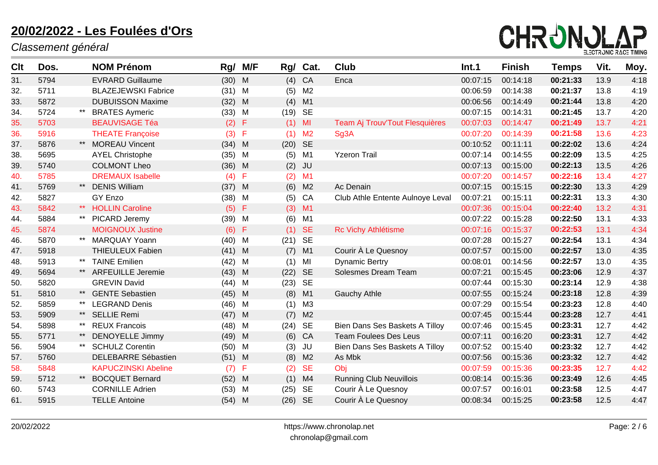

| <b>Clt</b> | Dos. |       | <b>NOM Prénom</b>          | Rg/      | M/F         | Rg/  | Cat.           | <b>Club</b>                      | Int.1    | <b>Finish</b> | <b>Temps</b> | Vit. | Moy. |
|------------|------|-------|----------------------------|----------|-------------|------|----------------|----------------------------------|----------|---------------|--------------|------|------|
| 31.        | 5794 |       | <b>EVRARD Guillaume</b>    | $(30)$ M |             | (4)  | CA             | Enca                             | 00:07:15 | 00:14:18      | 00:21:33     | 13.9 | 4:18 |
| 32.        | 5711 |       | <b>BLAZEJEWSKI Fabrice</b> | $(31)$ M |             | (5)  | M <sub>2</sub> |                                  | 00:06:59 | 00:14:38      | 00:21:37     | 13.8 | 4:19 |
| 33.        | 5872 |       | <b>DUBUISSON Maxime</b>    | (32)     | M           | (4)  | M1             |                                  | 00:06:56 | 00:14:49      | 00:21:44     | 13.8 | 4:20 |
| 34.        | 5724 |       | <b>BRATES Aymeric</b>      | (33)     | M           | (19) | <b>SE</b>      |                                  | 00:07:15 | 00:14:31      | 00:21:45     | 13.7 | 4:20 |
| 35.        | 5703 |       | <b>BEAUVISAGE Téa</b>      | (2)      | F           |      | $(1)$ MI       | Team Aj Trouv'Tout Flesquières   | 00:07:03 | 00:14:47      | 00:21:49     | 13.7 | 4:21 |
| 36.        | 5916 |       | <b>THEATE Françoise</b>    | (3)      | $\mathsf F$ | (1)  | M <sub>2</sub> | Sg3A                             | 00:07:20 | 00:14:39      | 00:21:58     | 13.6 | 4:23 |
| 37.        | 5876 | $***$ | <b>MOREAU Vincent</b>      | $(34)$ M |             | (20) | <b>SE</b>      |                                  | 00:10:52 | 00:11:11      | 00:22:02     | 13.6 | 4:24 |
| 38.        | 5695 |       | <b>AYEL Christophe</b>     | (35)     | M           | (5)  | M1             | <b>Yzeron Trail</b>              | 00:07:14 | 00:14:55      | 00:22:09     | 13.5 | 4:25 |
| 39.        | 5740 |       | <b>COLMONT Lheo</b>        | (36)     | M           | (2)  | <b>JU</b>      |                                  | 00:07:13 | 00:15:00      | 00:22:13     | 13.5 | 4:26 |
| 40.        | 5785 |       | <b>DREMAUX Isabelle</b>    | (4)      | F           | (2)  | M1             |                                  | 00:07:20 | 00:14:57      | 00:22:16     | 13.4 | 4:27 |
| 41.        | 5769 | $***$ | <b>DENIS William</b>       | (37)     | M           | (6)  | M <sub>2</sub> | Ac Denain                        | 00:07:15 | 00:15:15      | 00:22:30     | 13.3 | 4:29 |
| 42.        | 5827 |       | GY Enzo                    | (38)     | M           | (5)  | CA             | Club Athle Entente Aulnoye Leval | 00:07:21 | 00:15:11      | 00:22:31     | 13.3 | 4:30 |
| 43.        | 5842 | $***$ | <b>HOLLIN Caroline</b>     | (5)      | F           | (3)  | M1             |                                  | 00:07:36 | 00:15:04      | 00:22:40     | 13.2 | 4:31 |
| 44.        | 5884 |       | PICARD Jeremy              | (39)     | M           | (6)  | M1             |                                  | 00:07:22 | 00:15:28      | 00:22:50     | 13.1 | 4:33 |
| 45.        | 5874 |       | <b>MOIGNOUX Justine</b>    | (6)      | $\mathsf F$ | (1)  | <b>SE</b>      | Rc Vichy Athlétisme              | 00:07:16 | 00:15:37      | 00:22:53     | 13.1 | 4:34 |
| 46.        | 5870 | $***$ | <b>MARQUAY Yoann</b>       | (40)     | M           | (21) | <b>SE</b>      |                                  | 00:07:28 | 00:15:27      | 00:22:54     | 13.1 | 4:34 |
| 47.        | 5918 |       | <b>THIEULEUX Fabien</b>    | $(41)$ M |             | (7)  | M1             | Courir À Le Quesnoy              | 00:07:57 | 00:15:00      | 00:22:57     | 13.0 | 4:35 |
| 48.        | 5913 | $***$ | <b>TAINE Emilien</b>       | (42)     | M           | (1)  | MI             | <b>Dynamic Bertry</b>            | 00:08:01 | 00:14:56      | 00:22:57     | 13.0 | 4:35 |
| 49.        | 5694 |       | <b>ARFEUILLE Jeremie</b>   | (43)     | M           | (22) | <b>SE</b>      | Solesmes Dream Team              | 00:07:21 | 00:15:45      | 00:23:06     | 12.9 | 4:37 |
| 50.        | 5820 |       | <b>GREVIN David</b>        | (44)     | M           | (23) | <b>SE</b>      |                                  | 00:07:44 | 00:15:30      | 00:23:14     | 12.9 | 4:38 |
| 51.        | 5810 | $***$ | <b>GENTE Sebastien</b>     | $(45)$ M |             | (8)  | M1             | <b>Gauchy Athle</b>              | 00:07:55 | 00:15:24      | 00:23:18     | 12.8 | 4:39 |
| 52.        | 5859 | $***$ | <b>LEGRAND Denis</b>       | (46)     | M           | (1)  | M <sub>3</sub> |                                  | 00:07:29 | 00:15:54      | 00:23:23     | 12.8 | 4:40 |
| 53.        | 5909 | $***$ | <b>SELLIE Remi</b>         | (47)     | M           | (7)  | M <sub>2</sub> |                                  | 00:07:45 | 00:15:44      | 00:23:28     | 12.7 | 4:41 |
| 54.        | 5898 | $***$ | <b>REUX Francois</b>       | (48)     | M           | (24) | <b>SE</b>      | Bien Dans Ses Baskets A Tilloy   | 00:07:46 | 00:15:45      | 00:23:31     | 12.7 | 4:42 |
| 55.        | 5771 | $***$ | <b>DENOYELLE Jimmy</b>     | (49)     | M           | (6)  | CA             | <b>Team Foulees Des Leus</b>     | 00:07:11 | 00:16:20      | 00:23:31     | 12.7 | 4:42 |
| 56.        | 5904 | $***$ | <b>SCHULZ Corentin</b>     | (50)     | M           | (3)  | <b>JU</b>      | Bien Dans Ses Baskets A Tilloy   | 00:07:52 | 00:15:40      | 00:23:32     | 12.7 | 4:42 |
| 57.        | 5760 |       | <b>DELEBARRE Sébastien</b> | $(51)$ M |             | (8)  | M <sub>2</sub> | As Mbk                           | 00:07:56 | 00:15:36      | 00:23:32     | 12.7 | 4:42 |
| 58.        | 5848 |       | <b>KAPUCZINSKI Abeline</b> | (7)      | F           | (2)  | <b>SE</b>      | Obj                              | 00:07:59 | 00:15:36      | 00:23:35     | 12.7 | 4:42 |
| 59.        | 5712 |       | <b>BOCQUET Bernard</b>     | (52)     | M           | (1)  | M4             | <b>Running Club Neuvillois</b>   | 00:08:14 | 00:15:36      | 00:23:49     | 12.6 | 4:45 |
| 60.        | 5743 |       | <b>CORNILLE Adrien</b>     | (53)     | M           | (25) | <b>SE</b>      | Courir À Le Quesnoy              | 00:07:57 | 00:16:01      | 00:23:58     | 12.5 | 4:47 |
| 61.        | 5915 |       | <b>TELLE Antoine</b>       | $(54)$ M |             | (26) | <b>SE</b>      | Courir À Le Quesnoy              | 00:08:34 | 00:15:25      | 00:23:58     | 12.5 | 4:47 |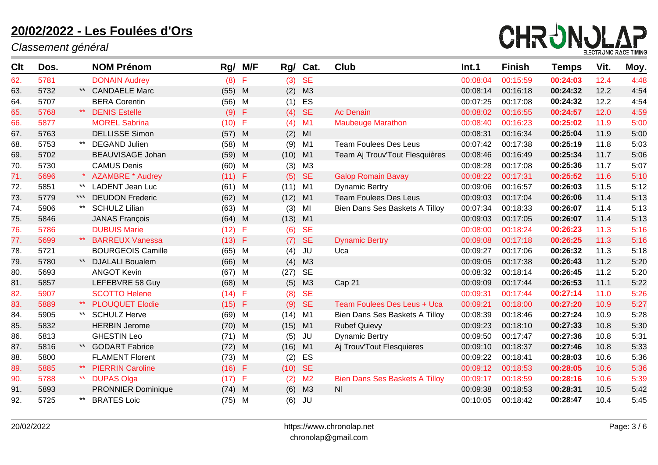

| Clt | Dos. |       | <b>NOM Prénom</b>         | Rg/      | M/F          | Rg/       | Cat.           | <b>Club</b>                           | Int.1    | <b>Finish</b> | Temps    | Vit. | Moy. |
|-----|------|-------|---------------------------|----------|--------------|-----------|----------------|---------------------------------------|----------|---------------|----------|------|------|
| 62. | 5781 |       | <b>DONAIN Audrey</b>      | (8)      | F            | (3)       | <b>SE</b>      |                                       | 00:08:04 | 00:15:59      | 00:24:03 | 12.4 | 4:48 |
| 63. | 5732 |       | <b>CANDAELE Marc</b>      | $(55)$ M |              | (2)       | M3             |                                       | 00:08:14 | 00:16:18      | 00:24:32 | 12.2 | 4:54 |
| 64. | 5707 |       | <b>BERA Corentin</b>      | (56)     | M            | (1)       | ES             |                                       | 00:07:25 | 00:17:08      | 00:24:32 | 12.2 | 4:54 |
| 65. | 5768 |       | <b>DENIS Estelle</b>      | (9)      | Æ            |           | $(4)$ SE       | <b>Ac Denain</b>                      | 00:08:02 | 00:16:55      | 00:24:57 | 12.0 | 4:59 |
| 66. | 5877 |       | <b>MOREL Sabrina</b>      | (10)     | F            | (4)       | M1             | <b>Maubeuge Marathon</b>              | 00:08:40 | 00:16:23      | 00:25:02 | 11.9 | 5:00 |
| 67. | 5763 |       | <b>DELLISSE Simon</b>     | (57)     | M            | (2)       | MI             |                                       | 00:08:31 | 00:16:34      | 00:25:04 | 11.9 | 5:00 |
| 68. | 5753 |       | <b>DEGAND Julien</b>      | (58)     | M            | (9)       | M1             | <b>Team Foulees Des Leus</b>          | 00:07:42 | 00:17:38      | 00:25:19 | 11.8 | 5:03 |
| 69. | 5702 |       | <b>BEAUVISAGE Johan</b>   | (59)     | M            | (10)      | M1             | Team Aj Trouv'Tout Flesquières        | 00:08:46 | 00:16:49      | 00:25:34 | 11.7 | 5:06 |
| 70. | 5730 |       | <b>CAMUS Denis</b>        | (60)     | M            | (3)       | M <sub>3</sub> |                                       | 00:08:28 | 00:17:08      | 00:25:36 | 11.7 | 5:07 |
| 71. | 5696 |       | <b>AZAMBRE * Audrey</b>   | $(11)$ F |              | (5)       | <b>SE</b>      | <b>Galop Romain Bavay</b>             | 00:08:22 | 00:17:31      | 00:25:52 | 11.6 | 5:10 |
| 72. | 5851 | $***$ | <b>LADENT Jean Luc</b>    | $(61)$ M |              | (11)      | M1             | <b>Dynamic Bertry</b>                 | 00:09:06 | 00:16:57      | 00:26:03 | 11.5 | 5:12 |
| 73. | 5779 | ***   | <b>DEUDON Frederic</b>    | (62)     | M            | (12)      | M1             | <b>Team Foulees Des Leus</b>          | 00:09:03 | 00:17:04      | 00:26:06 | 11.4 | 5:13 |
| 74. | 5906 |       | <b>SCHULZ Lilian</b>      | (63)     | M            | (3)       | MI             | Bien Dans Ses Baskets A Tilloy        | 00:07:34 | 00:18:33      | 00:26:07 | 11.4 | 5:13 |
| 75. | 5846 |       | <b>JANAS François</b>     | $(64)$ M |              | $(13)$ M1 |                |                                       | 00:09:03 | 00:17:05      | 00:26:07 | 11.4 | 5:13 |
| 76. | 5786 |       | <b>DUBUIS Marie</b>       | (12)     | F            | (6)       | <b>SE</b>      |                                       | 00:08:00 | 00:18:24      | 00:26:23 | 11.3 | 5:16 |
| 77. | 5699 | $***$ | <b>BARREUX Vanessa</b>    | $(13)$ F |              | (7)       | <b>SE</b>      | <b>Dynamic Bertry</b>                 | 00:09:08 | 00:17:18      | 00:26:25 | 11.3 | 5:16 |
| 78. | 5721 |       | <b>BOURGEOIS Camille</b>  | (65)     | M            | (4)       | JU             | Uca                                   | 00:09:27 | 00:17:06      | 00:26:32 | 11.3 | 5:18 |
| 79. | 5780 | $***$ | <b>DJALALI Boualem</b>    | (66)     | M            | (4)       | M3             |                                       | 00:09:05 | 00:17:38      | 00:26:43 | 11.2 | 5:20 |
| 80. | 5693 |       | <b>ANGOT Kevin</b>        | (67)     | M            | (27)      | <b>SE</b>      |                                       | 00:08:32 | 00:18:14      | 00:26:45 | 11.2 | 5:20 |
| 81. | 5857 |       | LEFEBVRE 58 Guy           | (68)     | M            | (5)       | M3             | Cap 21                                | 00:09:09 | 00:17:44      | 00:26:53 | 11.1 | 5:22 |
| 82. | 5907 |       | <b>SCOTTO Helene</b>      | (14)     | -F           | (8)       | <b>SE</b>      |                                       | 00:09:31 | 00:17:44      | 00:27:14 | 11.0 | 5:26 |
| 83. | 5889 |       | <b>PLOUQUET Elodie</b>    | $(15)$ F |              | (9)       | <b>SE</b>      | Team Foulees Des Leus + Uca           | 00:09:21 | 00:18:00      | 00:27:20 | 10.9 | 5:27 |
| 84. | 5905 |       | <b>SCHULZ Herve</b>       | (69)     | M            | (14)      | M1             | Bien Dans Ses Baskets A Tilloy        | 00:08:39 | 00:18:46      | 00:27:24 | 10.9 | 5:28 |
| 85. | 5832 |       | <b>HERBIN Jerome</b>      | $(70)$ M |              | $(15)$ M1 |                | <b>Rubef Quievy</b>                   | 00:09:23 | 00:18:10      | 00:27:33 | 10.8 | 5:30 |
| 86. | 5813 |       | <b>GHESTIN Leo</b>        | (71)     | M            | (5)       | JU             | <b>Dynamic Bertry</b>                 | 00:09:50 | 00:17:47      | 00:27:36 | 10.8 | 5:31 |
| 87. | 5816 | $***$ | <b>GODART Fabrice</b>     | (72)     | M            | (16)      | M1             | Aj Trouv'Tout Flesquieres             | 00:09:10 | 00:18:37      | 00:27:46 | 10.8 | 5:33 |
| 88. | 5800 |       | <b>FLAMENT Florent</b>    | (73)     | M            | (2)       | ES             |                                       | 00:09:22 | 00:18:41      | 00:28:03 | 10.6 | 5:36 |
| 89. | 5885 |       | <b>PIERRIN Caroline</b>   | $(16)$ F |              | (10)      | <b>SE</b>      |                                       | 00:09:12 | 00:18:53      | 00:28:05 | 10.6 | 5:36 |
| 90. | 5788 | $***$ | <b>DUPAS Olga</b>         | (17)     | $\mathsf{F}$ | (2)       | M <sub>2</sub> | <b>Bien Dans Ses Baskets A Tilloy</b> | 00:09:17 | 00:18:59      | 00:28:16 | 10.6 | 5:39 |
| 91. | 5893 |       | <b>PRONNIER Dominique</b> | (74)     | M            | (6)       | M3             | <b>NI</b>                             | 00:09:38 | 00:18:53      | 00:28:31 | 10.5 | 5:42 |
| 92. | 5725 |       | <b>BRATES Loic</b>        | $(75)$ M |              | (6)       | JU             |                                       | 00:10:05 | 00:18:42      | 00:28:47 | 10.4 | 5:45 |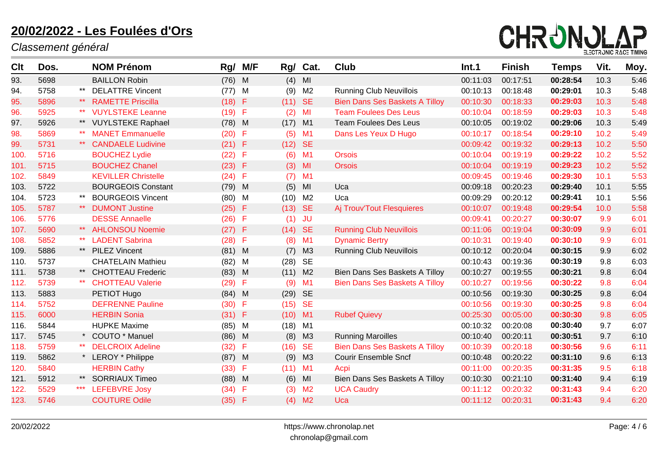

| <b>Clt</b> | Dos. |       | <b>NOM Prénom</b>          | Rg/      | M/F | Rg/       | Cat.           | <b>Club</b>                           | Int.1    | <b>Finish</b> | <b>Temps</b> | Vit. | Moy. |
|------------|------|-------|----------------------------|----------|-----|-----------|----------------|---------------------------------------|----------|---------------|--------------|------|------|
| 93.        | 5698 |       | <b>BAILLON Robin</b>       | (76)     | M   | (4)       | MI             |                                       | 00:11:03 | 00:17:51      | 00:28:54     | 10.3 | 5:46 |
| 94.        | 5758 | $***$ | <b>DELATTRE Vincent</b>    | (77)     | M   | (9)       | M <sub>2</sub> | <b>Running Club Neuvillois</b>        | 00:10:13 | 00:18:48      | 00:29:01     | 10.3 | 5:48 |
| 95.        | 5896 | $***$ | <b>RAMETTE Priscilla</b>   | (18) F   |     | $(11)$ SE |                | <b>Bien Dans Ses Baskets A Tilloy</b> | 00:10:30 | 00:18:33      | 00:29:03     | 10.3 | 5:48 |
| 96.        | 5925 | $***$ | <b>VUYLSTEKE Leanne</b>    | (19)     | F   | (2)       | MI             | <b>Team Foulees Des Leus</b>          | 00:10:04 | 00:18:59      | 00:29:03     | 10.3 | 5:48 |
| 97.        | 5926 |       | <b>VUYLSTEKE Raphael</b>   | (78)     | M   | (17)      | M1             | <b>Team Foulees Des Leus</b>          | 00:10:05 | 00:19:02      | 00:29:06     | 10.3 | 5:49 |
| 98.        | 5869 |       | <b>MANET Emmanuelle</b>    | (20)     | F   | (5)       | M <sub>1</sub> | Dans Les Yeux D Hugo                  | 00:10:17 | 00:18:54      | 00:29:10     | 10.2 | 5:49 |
| 99.        | 5731 | $***$ | <b>CANDAELE Ludivine</b>   | $(21)$ F |     | (12)      | <b>SE</b>      |                                       | 00:09:42 | 00:19:32      | 00:29:13     | 10.2 | 5:50 |
| 100.       | 5716 |       | <b>BOUCHEZ Lydie</b>       | (22)     | F   |           | $(6)$ M1       | <b>Orsois</b>                         | 00:10:04 | 00:19:19      | 00:29:22     | 10.2 | 5:52 |
| 101.       | 5715 |       | <b>BOUCHEZ Chanel</b>      | (23)     | -F  |           | $(3)$ MI       | <b>Orsois</b>                         | 00:10:04 | 00:19:19      | 00:29:23     | 10.2 | 5:52 |
| 102.       | 5849 |       | <b>KEVILLER Christelle</b> | (24)     | -F  |           | $(7)$ M1       |                                       | 00:09:45 | 00:19:46      | 00:29:30     | 10.1 | 5:53 |
| 103.       | 5722 |       | <b>BOURGEOIS Constant</b>  | (79)     | M   | (5)       | MI             | Uca                                   | 00:09:18 | 00:20:23      | 00:29:40     | 10.1 | 5:55 |
| 104.       | 5723 |       | <b>BOURGEOIS Vincent</b>   | (80)     | M   | (10)      | M <sub>2</sub> | Uca                                   | 00:09:29 | 00:20:12      | 00:29:41     | 10.1 | 5:56 |
| 105.       | 5787 | $***$ | <b>DUMONT Justine</b>      | $(25)$ F |     | $(13)$ SE |                | Aj Trouv'Tout Flesquieres             | 00:10:07 | 00:19:48      | 00:29:54     | 10.0 | 5:58 |
| 106.       | 5776 |       | <b>DESSE Annaelle</b>      | (26)     | F   | (1)       | <b>JU</b>      |                                       | 00:09:41 | 00:20:27      | 00:30:07     | 9.9  | 6:01 |
| 107.       | 5690 |       | <b>AHLONSOU Noemie</b>     | (27)     | F   | (14)      | <b>SE</b>      | <b>Running Club Neuvillois</b>        | 00:11:06 | 00:19:04      | 00:30:09     | 9.9  | 6:01 |
| 108.       | 5852 | $***$ | <b>LADENT Sabrina</b>      | (28)     | F   | (8)       | M1             | <b>Dynamic Bertry</b>                 | 00:10:31 | 00:19:40      | 00:30:10     | 9.9  | 6:01 |
| 109.       | 5886 | $***$ | <b>PILEZ Vincent</b>       | (81)     | M   | (7)       | M3             | <b>Running Club Neuvillois</b>        | 00:10:12 | 00:20:04      | 00:30:15     | 9.9  | 6:02 |
| 110.       | 5737 |       | <b>CHATELAIN Mathieu</b>   | (82)     | M   | (28)      | SE             |                                       | 00:10:43 | 00:19:36      | 00:30:19     | 9.8  | 6:03 |
| 111.       | 5738 | $***$ | <b>CHOTTEAU Frederic</b>   | (83)     | M   | (11)      | M <sub>2</sub> | Bien Dans Ses Baskets A Tilloy        | 00:10:27 | 00:19:55      | 00:30:21     | 9.8  | 6:04 |
| 112.       | 5739 |       | <b>CHOTTEAU Valerie</b>    | (29)     | F   | (9)       | M1             | <b>Bien Dans Ses Baskets A Tilloy</b> | 00:10:27 | 00:19:56      | 00:30:22     | 9.8  | 6:04 |
| 113.       | 5883 |       | PETIOT Hugo                | (84)     | M   | (29)      | <b>SE</b>      |                                       | 00:10:56 | 00:19:30      | 00:30:25     | 9.8  | 6:04 |
| 114.       | 5752 |       | <b>DEFRENNE Pauline</b>    | (30)     | F   | (15)      | <b>SE</b>      |                                       | 00:10:56 | 00:19:30      | 00:30:25     | 9.8  | 6:04 |
| 115.       | 6000 |       | <b>HERBIN Sonia</b>        | $(31)$ F |     | $(10)$ M1 |                | <b>Rubef Quievy</b>                   | 00:25:30 | 00:05:00      | 00:30:30     | 9.8  | 6:05 |
| 116.       | 5844 |       | <b>HUPKE Maxime</b>        | (85)     | M   | (18)      | M1             |                                       | 00:10:32 | 00:20:08      | 00:30:40     | 9.7  | 6:07 |
| 117.       | 5745 |       | * COUTO * Manuel           | (86)     | M   | (8)       | M3             | <b>Running Maroilles</b>              | 00:10:40 | 00:20:11      | 00:30:51     | 9.7  | 6:10 |
| 118.       | 5759 |       | <b>DELCROIX Adeline</b>    | (32)     | F   | (16)      | <b>SE</b>      | <b>Bien Dans Ses Baskets A Tilloy</b> | 00:10:39 | 00:20:18      | 00:30:56     | 9.6  | 6:11 |
| 119.       | 5862 |       | <b>LEROY</b> * Philippe    | (87)     | M   | (9)       | M3             | <b>Courir Ensemble Sncf</b>           | 00:10:48 | 00:20:22      | 00:31:10     | 9.6  | 6:13 |
| 120.       | 5840 |       | <b>HERBIN Cathy</b>        | (33)     | F   | (11)      | M1             | Acpi                                  | 00:11:00 | 00:20:35      | 00:31:35     | 9.5  | 6:18 |
| 121.       | 5912 | $***$ | <b>SORRIAUX Timeo</b>      | (88)     | M   | (6)       | MI             | Bien Dans Ses Baskets A Tilloy        | 00:10:30 | 00:21:10      | 00:31:40     | 9.4  | 6:19 |
| 122.       | 5529 | ***   | <b>LEFEBVRE Josy</b>       | (34)     | F   | (3)       | M <sub>2</sub> | <b>UCA Caudry</b>                     | 00:11:12 | 00:20:32      | 00:31:43     | 9.4  | 6:20 |
| 123.       | 5746 |       | <b>COUTURE Odile</b>       | (35)     | F   |           | $(4)$ M2       | Uca                                   | 00:11:12 | 00:20:31      | 00:31:43     | 9.4  | 6:20 |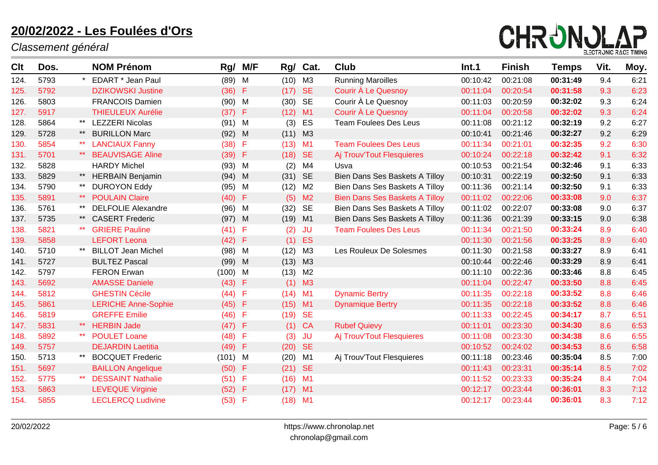

| Clt  | Dos. |       | <b>NOM Prénom</b>          | Rg/       | M/F          | Rg/       | Cat.           | <b>Club</b>                           | Int.1    | <b>Finish</b> | <b>Temps</b> | Vit. | Moy. |
|------|------|-------|----------------------------|-----------|--------------|-----------|----------------|---------------------------------------|----------|---------------|--------------|------|------|
| 124. | 5793 |       | EDART * Jean Paul          | (89)      | M            | (10)      | M3             | <b>Running Maroilles</b>              | 00:10:42 | 00:21:08      | 00:31:49     | 9.4  | 6:21 |
| 125. | 5792 |       | <b>DZIKOWSKI Justine</b>   | (36)      | $-F$         | (17)      | <b>SE</b>      | Courir À Le Quesnoy                   | 00:11:04 | 00:20:54      | 00:31:58     | 9.3  | 6:23 |
| 126. | 5803 |       | <b>FRANCOIS Damien</b>     | (90)      | M            | (30)      | <b>SE</b>      | Courir À Le Quesnoy                   | 00:11:03 | 00:20:59      | 00:32:02     | 9.3  | 6:24 |
| 127. | 5917 |       | <b>THIEULEUX Aurélie</b>   | (37)      | F            | (12)      | M1             | Courir À Le Quesnoy                   | 00:11:04 | 00:20:58      | 00:32:02     | 9.3  | 6:24 |
| 128. | 5864 | $***$ | <b>LEZZERI Nicolas</b>     | (91)      | M            | (3)       | ES             | <b>Team Foulees Des Leus</b>          | 00:11:08 | 00:21:12      | 00:32:19     | 9.2  | 6:27 |
| 129. | 5728 | $***$ | <b>BURILLON Marc</b>       | (92)      | $\mathsf{M}$ | (11)      | M3             |                                       | 00:10:41 | 00:21:46      | 00:32:27     | 9.2  | 6:29 |
| 130. | 5854 |       | <b>LANCIAUX Fanny</b>      | (38)      | F            | (13)      | M <sub>1</sub> | <b>Team Foulees Des Leus</b>          | 00:11:34 | 00:21:01      | 00:32:35     | 9.2  | 6:30 |
| 131. | 5701 | $***$ | <b>BEAUVISAGE Aline</b>    | (39)      | F            | (18)      | <b>SE</b>      | Aj Trouv'Tout Flesquieres             | 00:10:24 | 00:22:18      | 00:32:42     | 9.1  | 6:32 |
| 132. | 5828 |       | <b>HARDY Michel</b>        | $(93)$ M  |              | (2)       | M4             | Usva                                  | 00:10:53 | 00:21:54      | 00:32:46     | 9.1  | 6:33 |
| 133. | 5829 | $***$ | <b>HERBAIN Benjamin</b>    | (94)      | - M          | (31)      | <b>SE</b>      | Bien Dans Ses Baskets A Tilloy        | 00:10:31 | 00:22:19      | 00:32:50     | 9.1  | 6:33 |
| 134. | 5790 | $***$ | <b>DUROYON Eddy</b>        | (95)      | M            | (12)      | M2             | Bien Dans Ses Baskets A Tilloy        | 00:11:36 | 00:21:14      | 00:32:50     | 9.1  | 6:33 |
| 135. | 5891 |       | <b>POULAIN Claire</b>      | (40)      | F            | (5)       | M <sub>2</sub> | <b>Bien Dans Ses Baskets A Tilloy</b> | 00:11:02 | 00:22:06      | 00:33:08     | 9.0  | 6:37 |
| 136. | 5761 | $***$ | <b>DELFOLIE Alexandre</b>  | (96)      | M            | (32)      | <b>SE</b>      | Bien Dans Ses Baskets A Tilloy        | 00:11:02 | 00:22:07      | 00:33:08     | 9.0  | 6:37 |
| 137. | 5735 | $***$ | <b>CASERT Frederic</b>     | $(97)$ M  |              | (19)      | M1             | Bien Dans Ses Baskets A Tilloy        | 00:11:36 | 00:21:39      | 00:33:15     | 9.0  | 6:38 |
| 138. | 5821 |       | <b>GRIERE Pauline</b>      | (41)      | F            | (2)       | <b>JU</b>      | <b>Team Foulees Des Leus</b>          | 00:11:34 | 00:21:50      | 00:33:24     | 8.9  | 6:40 |
| 139. | 5858 |       | <b>LEFORT Leona</b>        | (42)      | F            | (1)       | ES             |                                       | 00:11:30 | 00:21:56      | 00:33:25     | 8.9  | 6:40 |
| 140. | 5710 |       | <b>BILLOT Jean Michel</b>  | (98)      | M            | (12)      | M3             | Les Rouleux De Solesmes               | 00:11:30 | 00:21:58      | 00:33:27     | 8.9  | 6:41 |
| 141. | 5727 |       | <b>BULTEZ Pascal</b>       | (99)      | $\mathsf{M}$ | (13)      | M3             |                                       | 00:10:44 | 00:22:46      | 00:33:29     | 8.9  | 6:41 |
| 142. | 5797 |       | <b>FERON Erwan</b>         | $(100)$ M |              | (13)      | M <sub>2</sub> |                                       | 00:11:10 | 00:22:36      | 00:33:46     | 8.8  | 6:45 |
| 143. | 5692 |       | <b>AMASSE Daniele</b>      | (43)      | $\mathsf F$  | (1)       | M3             |                                       | 00:11:04 | 00:22:47      | 00:33:50     | 8.8  | 6:45 |
| 144. | 5812 |       | <b>GHESTIN Cécile</b>      | (44)      | F            | (14)      | M <sub>1</sub> | <b>Dynamic Bertry</b>                 | 00:11:35 | 00:22:18      | 00:33:52     | 8.8  | 6:46 |
| 145. | 5861 |       | <b>LERICHE Anne-Sophie</b> | (45)      | F            | (15)      | M <sub>1</sub> | <b>Dynamique Bertry</b>               | 00:11:35 | 00:22:18      | 00:33:52     | 8.8  | 6:46 |
| 146. | 5819 |       | <b>GREFFE Emilie</b>       | (46)      | F            | (19)      | <b>SE</b>      |                                       | 00:11:33 | 00:22:45      | 00:34:17     | 8.7  | 6:51 |
| 147. | 5831 | $***$ | <b>HERBIN Jade</b>         | (47)      | Æ            | (1)       | <b>CA</b>      | <b>Rubef Quievy</b>                   | 00:11:01 | 00:23:30      | 00:34:30     | 8.6  | 6:53 |
| 148. | 5892 |       | <b>POULET Loane</b>        | (48)      | F            | (3)       | <b>JU</b>      | Aj Trouv'Tout Flesquieres             | 00:11:08 | 00:23:30      | 00:34:38     | 8.6  | 6:55 |
| 149. | 5757 |       | <b>DEJARDIN Laetitia</b>   | (49)      | F            | (20)      | <b>SE</b>      |                                       | 00:10:52 | 00:24:02      | 00:34:53     | 8.6  | 6:58 |
| 150. | 5713 |       | <b>BOCQUET Frederic</b>    | (101)     | M            | (20)      | M <sub>1</sub> | Aj Trouv'Tout Flesquieres             | 00:11:18 | 00:23:46      | 00:35:04     | 8.5  | 7:00 |
| 151. | 5697 |       | <b>BAILLON Angelique</b>   | (50)      | F            | (21)      | <b>SE</b>      |                                       | 00:11:43 | 00:23:31      | 00:35:14     | 8.5  | 7:02 |
| 152. | 5775 |       | <b>DESSAINT Nathalie</b>   | (51)      | F            | $(16)$ M1 |                |                                       | 00:11:52 | 00:23:33      | 00:35:24     | 8.4  | 7:04 |
| 153. | 5863 |       | <b>LEVEQUE Virginie</b>    | (52)      | F            | (17)      | M1             |                                       | 00:12:17 | 00:23:44      | 00:36:01     | 8.3  | 7:12 |
| 154. | 5855 |       | <b>LECLERCQ Ludivine</b>   | (53)      | F            | (18)      | M1             |                                       | 00:12:17 | 00:23:44      | 00:36:01     | 8.3  | 7:12 |